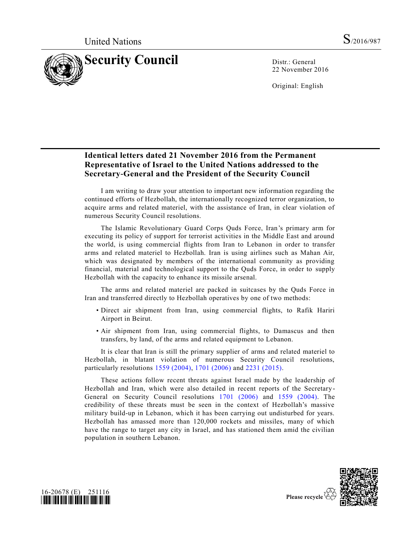

22 November 2016

Original: English

## **Identical letters dated 21 November 2016 from the Permanent Representative of Israel to the United Nations addressed to the Secretary-General and the President of the Security Council**

I am writing to draw your attention to important new information regarding the continued efforts of Hezbollah, the internationally recognized terror organization, to acquire arms and related materiel, with the assistance of Iran, in clear violation of numerous Security Council resolutions.

The Islamic Revolutionary Guard Corps Quds Force, Iran's primary arm for executing its policy of support for terrorist activities in the Middle East and around the world, is using commercial flights from Iran to Lebanon in order to transfer arms and related materiel to Hezbollah. Iran is using airlines such as Mahan Air, which was designated by members of the international community as providing financial, material and technological support to the Quds Force, in order to supply Hezbollah with the capacity to enhance its missile arsenal.

The arms and related materiel are packed in suitcases by the Quds Force in Iran and transferred directly to Hezbollah operatives by one of two methods:

- Direct air shipment from Iran, using commercial flights, to Rafik Hariri Airport in Beirut.
- Air shipment from Iran, using commercial flights, to Damascus and then transfers, by land, of the arms and related equipment to Lebanon.

It is clear that Iran is still the primary supplier of arms and related materiel to Hezbollah, in blatant violation of numerous Security Council resolutions, particularly resolutions [1559 \(2004\),](http://undocs.org/S/RES/1559(2004)) [1701 \(2006\)](http://undocs.org/S/RES/1701(2006)) and [2231 \(2015\).](http://undocs.org/S/RES/2231(2015))

These actions follow recent threats against Israel made by the leadership of Hezbollah and Iran, which were also detailed in recent reports of the Secretary-General on Security Council resolutions [1701 \(2006\)](http://undocs.org/S/RES/1701(2006)) and [1559 \(2004\).](http://undocs.org/S/RES/1559(2004)) The credibility of these threats must be seen in the context of Hezbollah's massive military build-up in Lebanon, which it has been carrying out undisturbed for years. Hezbollah has amassed more than 120,000 rockets and missiles, many of which have the range to target any city in Israel, and has stationed them amid the civilian population in southern Lebanon.